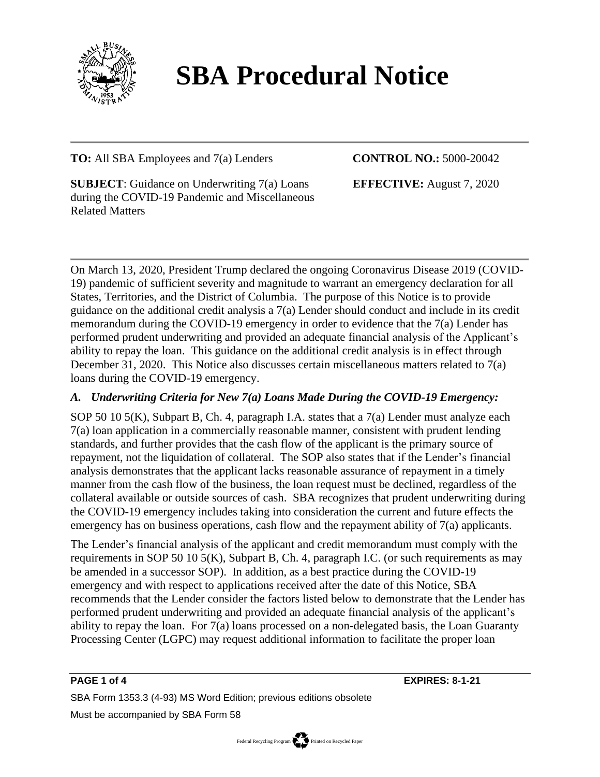

# **SBA Procedural Notice**

## **TO:** All SBA Employees and 7(a) Lenders

#### **CONTROL NO.:** 5000-20042

**SUBJECT**: Guidance on Underwriting 7(a) Loans during the COVID-19 Pandemic and Miscellaneous Related Matters

**EFFECTIVE:** August 7, 2020

On March 13, 2020, President Trump declared the ongoing Coronavirus Disease 2019 (COVID-19) pandemic of sufficient severity and magnitude to warrant an emergency declaration for all States, Territories, and the District of Columbia. The purpose of this Notice is to provide guidance on the additional credit analysis a 7(a) Lender should conduct and include in its credit memorandum during the COVID-19 emergency in order to evidence that the 7(a) Lender has performed prudent underwriting and provided an adequate financial analysis of the Applicant's ability to repay the loan. This guidance on the additional credit analysis is in effect through December 31, 2020. This Notice also discusses certain miscellaneous matters related to 7(a) loans during the COVID-19 emergency.

## *A. Underwriting Criteria for New 7(a) Loans Made During the COVID-19 Emergency:*

SOP 50 10 5(K), Subpart B, Ch. 4, paragraph I.A. states that a 7(a) Lender must analyze each 7(a) loan application in a commercially reasonable manner, consistent with prudent lending standards, and further provides that the cash flow of the applicant is the primary source of repayment, not the liquidation of collateral. The SOP also states that if the Lender's financial analysis demonstrates that the applicant lacks reasonable assurance of repayment in a timely manner from the cash flow of the business, the loan request must be declined, regardless of the collateral available or outside sources of cash. SBA recognizes that prudent underwriting during the COVID-19 emergency includes taking into consideration the current and future effects the emergency has on business operations, cash flow and the repayment ability of 7(a) applicants.

The Lender's financial analysis of the applicant and credit memorandum must comply with the requirements in SOP 50 10 5(K), Subpart B, Ch. 4, paragraph I.C. (or such requirements as may be amended in a successor SOP). In addition, as a best practice during the COVID-19 emergency and with respect to applications received after the date of this Notice, SBA recommends that the Lender consider the factors listed below to demonstrate that the Lender has performed prudent underwriting and provided an adequate financial analysis of the applicant's ability to repay the loan. For 7(a) loans processed on a non-delegated basis, the Loan Guaranty Processing Center (LGPC) may request additional information to facilitate the proper loan

**PAGE 1 of 4 EXPIRES: 8-1-21**

SBA Form 1353.3 (4-93) MS Word Edition; previous editions obsolete Must be accompanied by SBA Form 58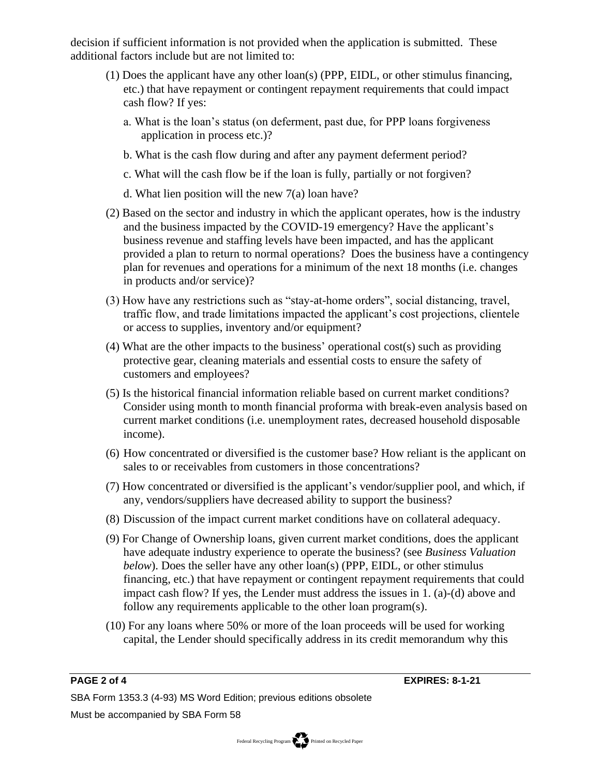decision if sufficient information is not provided when the application is submitted. These additional factors include but are not limited to:

- (1) Does the applicant have any other loan(s) (PPP, EIDL, or other stimulus financing, etc.) that have repayment or contingent repayment requirements that could impact cash flow? If yes:
	- a. What is the loan's status (on deferment, past due, for PPP loans forgiveness application in process etc.)?
	- b. What is the cash flow during and after any payment deferment period?
	- c. What will the cash flow be if the loan is fully, partially or not forgiven?
	- d. What lien position will the new 7(a) loan have?
- (2) Based on the sector and industry in which the applicant operates, how is the industry and the business impacted by the COVID-19 emergency? Have the applicant's business revenue and staffing levels have been impacted, and has the applicant provided a plan to return to normal operations? Does the business have a contingency plan for revenues and operations for a minimum of the next 18 months (i.e. changes in products and/or service)?
- (3) How have any restrictions such as "stay-at-home orders", social distancing, travel, traffic flow, and trade limitations impacted the applicant's cost projections, clientele or access to supplies, inventory and/or equipment?
- (4) What are the other impacts to the business' operational cost(s) such as providing protective gear, cleaning materials and essential costs to ensure the safety of customers and employees?
- (5) Is the historical financial information reliable based on current market conditions? Consider using month to month financial proforma with break-even analysis based on current market conditions (i.e. unemployment rates, decreased household disposable income).
- (6) How concentrated or diversified is the customer base? How reliant is the applicant on sales to or receivables from customers in those concentrations?
- (7) How concentrated or diversified is the applicant's vendor/supplier pool, and which, if any, vendors/suppliers have decreased ability to support the business?
- (8) Discussion of the impact current market conditions have on collateral adequacy.
- (9) For Change of Ownership loans, given current market conditions, does the applicant have adequate industry experience to operate the business? (see *Business Valuation below*). Does the seller have any other loan(s) (PPP, EIDL, or other stimulus financing, etc.) that have repayment or contingent repayment requirements that could impact cash flow? If yes, the Lender must address the issues in 1. (a)-(d) above and follow any requirements applicable to the other loan program(s).
- (10) For any loans where 50% or more of the loan proceeds will be used for working capital, the Lender should specifically address in its credit memorandum why this

**PAGE 2 of 4 EXPIRES: 8-1-21**

SBA Form 1353.3 (4-93) MS Word Edition; previous editions obsolete Must be accompanied by SBA Form 58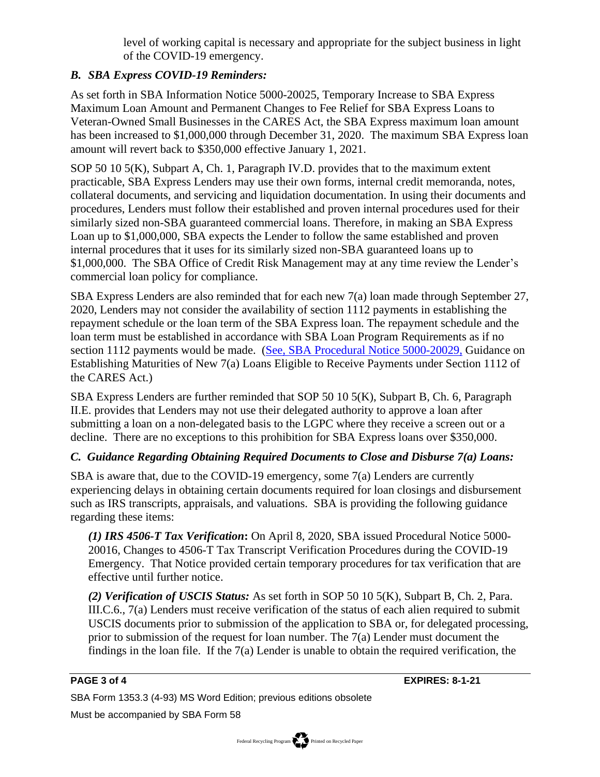level of working capital is necessary and appropriate for the subject business in light of the COVID-19 emergency.

## *B. SBA Express COVID-19 Reminders:*

As set forth in SBA Information Notice 5000-20025, Temporary Increase to SBA Express Maximum Loan Amount and Permanent Changes to Fee Relief for SBA Express Loans to Veteran-Owned Small Businesses in the CARES Act, the SBA Express maximum loan amount has been increased to \$1,000,000 through December 31, 2020. The maximum SBA Express loan amount will revert back to \$350,000 effective January 1, 2021.

SOP 50 10 5(K), Subpart A, Ch. 1, Paragraph IV.D. provides that to the maximum extent practicable, SBA Express Lenders may use their own forms, internal credit memoranda, notes, collateral documents, and servicing and liquidation documentation. In using their documents and procedures, Lenders must follow their established and proven internal procedures used for their similarly sized non-SBA guaranteed commercial loans. Therefore, in making an SBA Express Loan up to \$1,000,000, SBA expects the Lender to follow the same established and proven internal procedures that it uses for its similarly sized non-SBA guaranteed loans up to \$1,000,000. The SBA Office of Credit Risk Management may at any time review the Lender's commercial loan policy for compliance.

SBA Express Lenders are also reminded that for each new 7(a) loan made through September 27, 2020, Lenders may not consider the availability of section 1112 payments in establishing the repayment schedule or the loan term of the SBA Express loan. The repayment schedule and the loan term must be established in accordance with SBA Loan Program Requirements as if no section 1112 payments would be made. (See, [SBA Procedural Notice 5000-20029,](https://sba123.sharepoint.com/sites/sbaglobal/notices/SBA%20Procedural%20Notices/Forms/Notices.aspx?id=%2Fsites%2Fsbaglobal%2Fnotices%2FSBA%20Procedural%20Notices%2F5000%2D20029%2Epdf&parent=%2Fsites%2Fsbaglobal%2Fnotices%2FSBA%20Procedural%20Notices) Guidance on Establishing Maturities of New 7(a) Loans Eligible to Receive Payments under Section 1112 of the CARES Act.)

SBA Express Lenders are further reminded that SOP 50 10 5(K), Subpart B, Ch. 6, Paragraph II.E. provides that Lenders may not use their delegated authority to approve a loan after submitting a loan on a non-delegated basis to the LGPC where they receive a screen out or a decline. There are no exceptions to this prohibition for SBA Express loans over \$350,000.

## *C. Guidance Regarding Obtaining Required Documents to Close and Disburse 7(a) Loans:*

SBA is aware that, due to the COVID-19 emergency, some 7(a) Lenders are currently experiencing delays in obtaining certain documents required for loan closings and disbursement such as IRS transcripts, appraisals, and valuations. SBA is providing the following guidance regarding these items:

*(1) IRS 4506-T Tax Verification***:** On April 8, 2020, SBA issued Procedural Notice 5000- 20016, Changes to 4506-T Tax Transcript Verification Procedures during the COVID-19 Emergency. That Notice provided certain temporary procedures for tax verification that are effective until further notice.

*(2) Verification of USCIS Status:* As set forth in SOP 50 10 5(K), Subpart B, Ch. 2, Para. III.C.6., 7(a) Lenders must receive verification of the status of each alien required to submit USCIS documents prior to submission of the application to SBA or, for delegated processing, prior to submission of the request for loan number. The 7(a) Lender must document the findings in the loan file. If the 7(a) Lender is unable to obtain the required verification, the

**PAGE 3 of 4 EXPIRES: 8-1-21**

SBA Form 1353.3 (4-93) MS Word Edition; previous editions obsolete

Must be accompanied by SBA Form 58